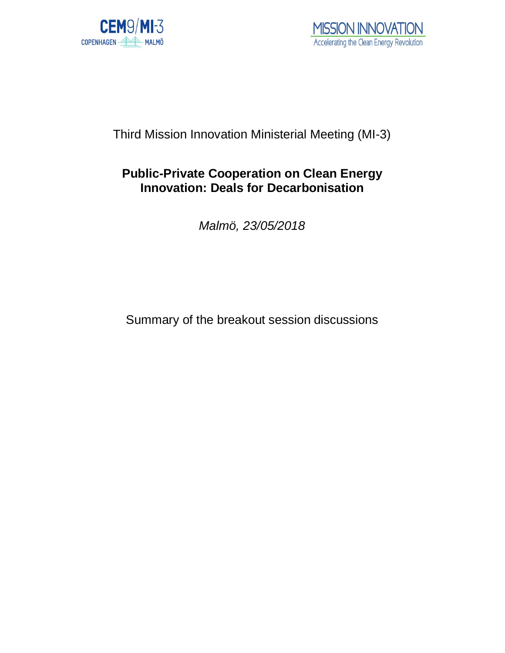



Third Mission Innovation Ministerial Meeting (MI-3)

# **Public-Private Cooperation on Clean Energy Innovation: Deals for Decarbonisation**

*Malmö, 23/05/2018* 

Summary of the breakout session discussions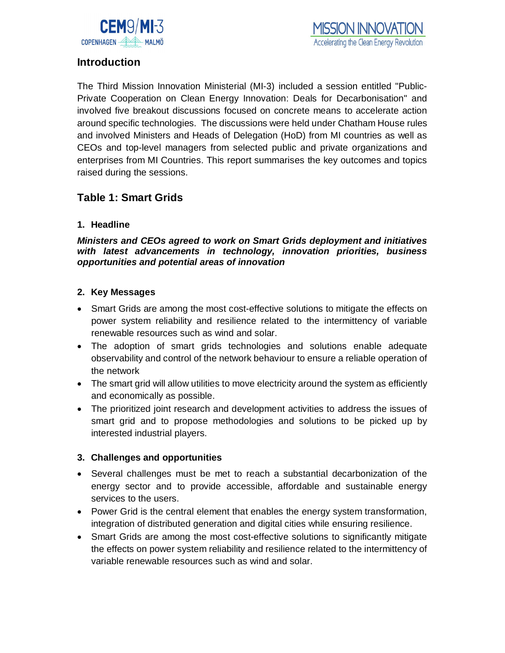



### **Introduction**

The Third Mission Innovation Ministerial (MI-3) included a session entitled "Public-Private Cooperation on Clean Energy Innovation: Deals for Decarbonisation" and involved five breakout discussions focused on concrete means to accelerate action around specific technologies. The discussions were held under Chatham House rules and involved Ministers and Heads of Delegation (HoD) from MI countries as well as CEOs and top-level managers from selected public and private organizations and enterprises from MI Countries. This report summarises the key outcomes and topics raised during the sessions.

### **Table 1: Smart Grids**

### **1. Headline**

*Ministers and CEOs agreed to work on Smart Grids deployment and initiatives with latest advancements in technology, innovation priorities, business opportunities and potential areas of innovation*

### **2. Key Messages**

- Smart Grids are among the most cost-effective solutions to mitigate the effects on power system reliability and resilience related to the intermittency of variable renewable resources such as wind and solar.
- The adoption of smart grids technologies and solutions enable adequate observability and control of the network behaviour to ensure a reliable operation of the network
- The smart grid will allow utilities to move electricity around the system as efficiently and economically as possible.
- The prioritized joint research and development activities to address the issues of smart grid and to propose methodologies and solutions to be picked up by interested industrial players.

### **3. Challenges and opportunities**

- Several challenges must be met to reach a substantial decarbonization of the energy sector and to provide accessible, affordable and sustainable energy services to the users.
- Power Grid is the central element that enables the energy system transformation, integration of distributed generation and digital cities while ensuring resilience.
- Smart Grids are among the most cost-effective solutions to significantly mitigate the effects on power system reliability and resilience related to the intermittency of variable renewable resources such as wind and solar.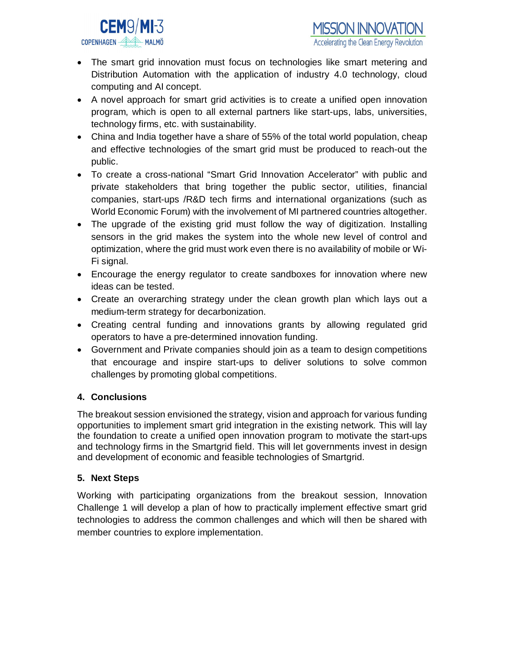

- The smart grid innovation must focus on technologies like smart metering and Distribution Automation with the application of industry 4.0 technology, cloud computing and AI concept.
- A novel approach for smart grid activities is to create a unified open innovation program, which is open to all external partners like start-ups, labs, universities, technology firms, etc. with sustainability.
- China and India together have a share of 55% of the total world population, cheap and effective technologies of the smart grid must be produced to reach-out the public.
- To create a cross-national "Smart Grid Innovation Accelerator" with public and private stakeholders that bring together the public sector, utilities, financial companies, start-ups /R&D tech firms and international organizations (such as World Economic Forum) with the involvement of MI partnered countries altogether.
- The upgrade of the existing grid must follow the way of digitization. Installing sensors in the grid makes the system into the whole new level of control and optimization, where the grid must work even there is no availability of mobile or Wi-Fi signal.
- Encourage the energy regulator to create sandboxes for innovation where new ideas can be tested.
- Create an overarching strategy under the clean growth plan which lays out a medium-term strategy for decarbonization.
- Creating central funding and innovations grants by allowing regulated grid operators to have a pre-determined innovation funding.
- Government and Private companies should join as a team to design competitions that encourage and inspire start-ups to deliver solutions to solve common challenges by promoting global competitions.

### **4. Conclusions**

The breakout session envisioned the strategy, vision and approach for various funding opportunities to implement smart grid integration in the existing network. This will lay the foundation to create a unified open innovation program to motivate the start-ups and technology firms in the Smartgrid field. This will let governments invest in design and development of economic and feasible technologies of Smartgrid.

### **5. Next Steps**

Working with participating organizations from the breakout session, Innovation Challenge 1 will develop a plan of how to practically implement effective smart grid technologies to address the common challenges and which will then be shared with member countries to explore implementation.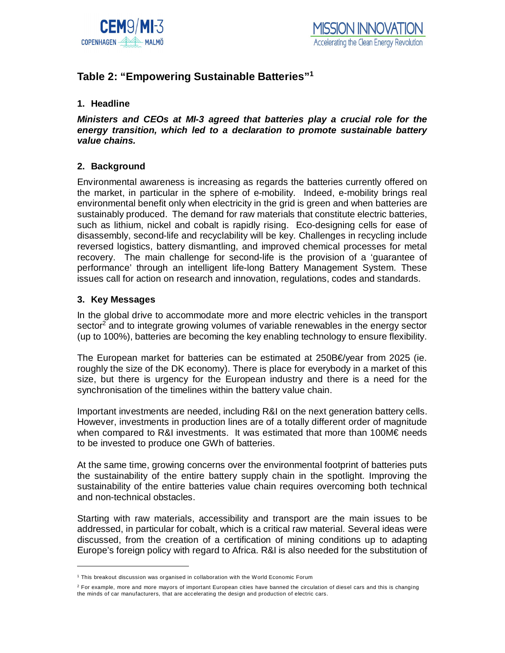



## **Table 2: "Empowering Sustainable Batteries"<sup>1</sup>**

#### **1. Headline**

*Ministers and CEOs at MI-3 agreed that batteries play a crucial role for the energy transition, which led to a declaration to promote sustainable battery value chains.*

#### **2. Background**

Environmental awareness is increasing as regards the batteries currently offered on the market, in particular in the sphere of e-mobility. Indeed, e-mobility brings real environmental benefit only when electricity in the grid is green and when batteries are sustainably produced. The demand for raw materials that constitute electric batteries, such as lithium, nickel and cobalt is rapidly rising. Eco-designing cells for ease of disassembly, second-life and recyclability will be key. Challenges in recycling include reversed logistics, battery dismantling, and improved chemical processes for metal recovery. The main challenge for second-life is the provision of a 'guarantee of performance' through an intelligent life-long Battery Management System. These issues call for action on research and innovation, regulations, codes and standards.

#### **3. Key Messages**

1

In the global drive to accommodate more and more electric vehicles in the transport sector<sup>2</sup> and to integrate growing volumes of variable renewables in the energy sector (up to 100%), batteries are becoming the key enabling technology to ensure flexibility.

The European market for batteries can be estimated at 250B€/year from 2025 (ie. roughly the size of the DK economy). There is place for everybody in a market of this size, but there is urgency for the European industry and there is a need for the synchronisation of the timelines within the battery value chain.

Important investments are needed, including R&I on the next generation battery cells. However, investments in production lines are of a totally different order of magnitude when compared to R&I investments. It was estimated that more than 100M€ needs to be invested to produce one GWh of batteries.

At the same time, growing concerns over the environmental footprint of batteries puts the sustainability of the entire battery supply chain in the spotlight. Improving the sustainability of the entire batteries value chain requires overcoming both technical and non-technical obstacles.

Starting with raw materials, accessibility and transport are the main issues to be addressed, in particular for cobalt, which is a critical raw material. Several ideas were discussed, from the creation of a certification of mining conditions up to adapting Europe's foreign policy with regard to Africa. R&I is also needed for the substitution of

<sup>1</sup> This breakout discussion was organised in collaboration with the World Economic Forum

 $2$  For example, more and more mayors of important European cities have banned the circulation of diesel cars and this is changing the minds of car manufacturers, that are accelerating the design and production of electric cars.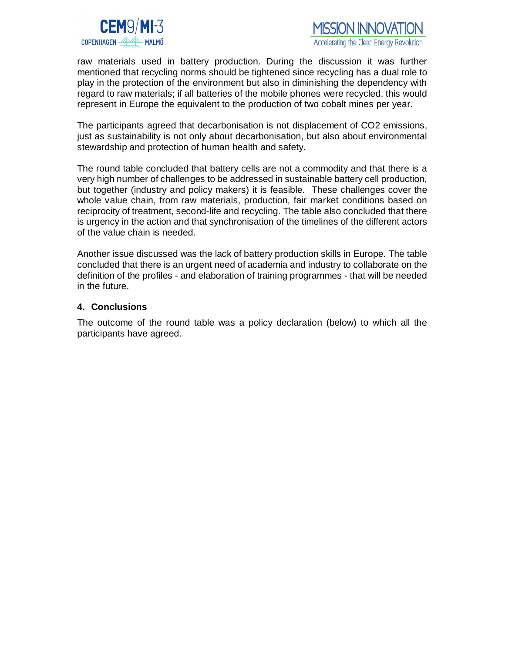



raw materials used in battery production. During the discussion it was further mentioned that recycling norms should be tightened since recycling has a dual role to play in the protection of the environment but also in diminishing the dependency with regard to raw materials; if all batteries of the mobile phones were recycled, this would represent in Europe the equivalent to the production of two cobalt mines per year.

The participants agreed that decarbonisation is not displacement of CO2 emissions, just as sustainability is not only about decarbonisation, but also about environmental stewardship and protection of human health and safety.

The round table concluded that battery cells are not a commodity and that there is a very high number of challenges to be addressed in sustainable battery cell production, but together (industry and policy makers) it is feasible. These challenges cover the whole value chain, from raw materials, production, fair market conditions based on reciprocity of treatment, second-life and recycling. The table also concluded that there is urgency in the action and that synchronisation of the timelines of the different actors of the value chain is needed.

Another issue discussed was the lack of battery production skills in Europe. The table concluded that there is an urgent need of academia and industry to collaborate on the definition of the profiles - and elaboration of training programmes - that will be needed in the future.

#### **4. Conclusions**

The outcome of the round table was a policy declaration (below) to which all the participants have agreed.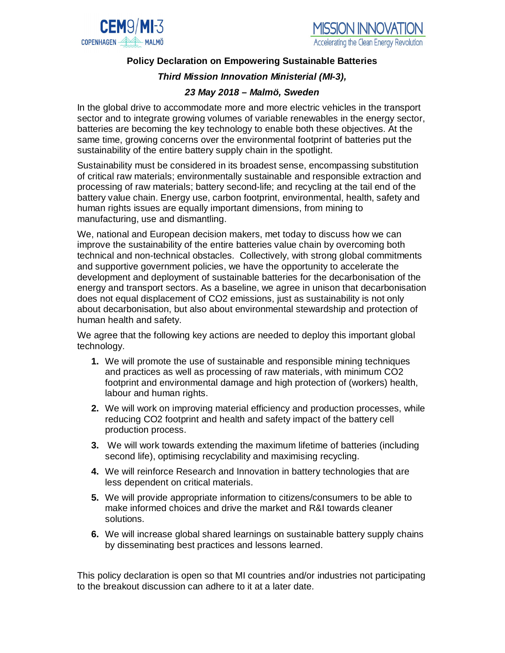



#### **Policy Declaration on Empowering Sustainable Batteries**

#### *Third Mission Innovation Ministerial (MI-3),*

#### *23 May 2018 – Malmö, Sweden*

In the global drive to accommodate more and more electric vehicles in the transport sector and to integrate growing volumes of variable renewables in the energy sector, batteries are becoming the key technology to enable both these objectives. At the same time, growing concerns over the environmental footprint of batteries put the sustainability of the entire battery supply chain in the spotlight.

Sustainability must be considered in its broadest sense, encompassing substitution of critical raw materials; environmentally sustainable and responsible extraction and processing of raw materials; battery second-life; and recycling at the tail end of the battery value chain. Energy use, carbon footprint, environmental, health, safety and human rights issues are equally important dimensions, from mining to manufacturing, use and dismantling.

We, national and European decision makers, met today to discuss how we can improve the sustainability of the entire batteries value chain by overcoming both technical and non-technical obstacles. Collectively, with strong global commitments and supportive government policies, we have the opportunity to accelerate the development and deployment of sustainable batteries for the decarbonisation of the energy and transport sectors. As a baseline, we agree in unison that decarbonisation does not equal displacement of CO2 emissions, just as sustainability is not only about decarbonisation, but also about environmental stewardship and protection of human health and safety.

We agree that the following key actions are needed to deploy this important global technology.

- **1.** We will promote the use of sustainable and responsible mining techniques and practices as well as processing of raw materials, with minimum CO2 footprint and environmental damage and high protection of (workers) health, labour and human rights.
- **2.** We will work on improving material efficiency and production processes, while reducing CO2 footprint and health and safety impact of the battery cell production process.
- **3.** We will work towards extending the maximum lifetime of batteries (including second life), optimising recyclability and maximising recycling.
- **4.** We will reinforce Research and Innovation in battery technologies that are less dependent on critical materials.
- **5.** We will provide appropriate information to citizens/consumers to be able to make informed choices and drive the market and R&I towards cleaner solutions.
- **6.** We will increase global shared learnings on sustainable battery supply chains by disseminating best practices and lessons learned.

This policy declaration is open so that MI countries and/or industries not participating to the breakout discussion can adhere to it at a later date.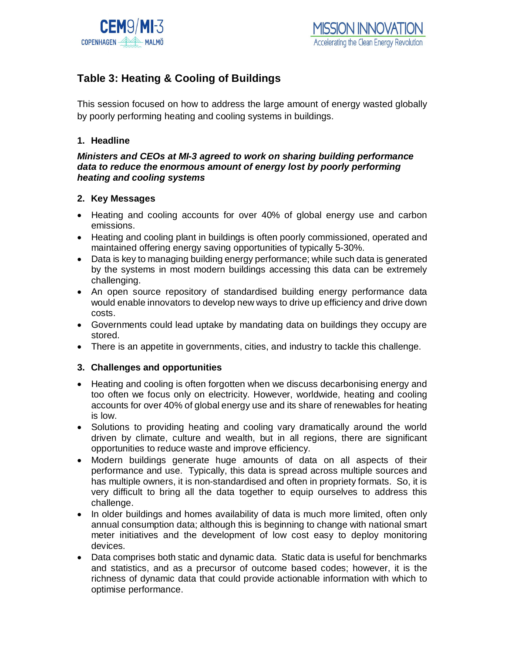



## **Table 3: Heating & Cooling of Buildings**

This session focused on how to address the large amount of energy wasted globally by poorly performing heating and cooling systems in buildings.

#### **1. Headline**

#### *Ministers and CEOs at MI-3 agreed to work on sharing building performance data to reduce the enormous amount of energy lost by poorly performing heating and cooling systems*

#### **2. Key Messages**

- Heating and cooling accounts for over 40% of global energy use and carbon emissions.
- Heating and cooling plant in buildings is often poorly commissioned, operated and maintained offering energy saving opportunities of typically 5-30%.
- Data is key to managing building energy performance; while such data is generated by the systems in most modern buildings accessing this data can be extremely challenging.
- An open source repository of standardised building energy performance data would enable innovators to develop new ways to drive up efficiency and drive down costs.
- Governments could lead uptake by mandating data on buildings they occupy are stored.
- There is an appetite in governments, cities, and industry to tackle this challenge.

#### **3. Challenges and opportunities**

- Heating and cooling is often forgotten when we discuss decarbonising energy and too often we focus only on electricity. However, worldwide, heating and cooling accounts for over 40% of global energy use and its share of renewables for heating is low.
- Solutions to providing heating and cooling vary dramatically around the world driven by climate, culture and wealth, but in all regions, there are significant opportunities to reduce waste and improve efficiency.
- Modern buildings generate huge amounts of data on all aspects of their performance and use. Typically, this data is spread across multiple sources and has multiple owners, it is non-standardised and often in propriety formats. So, it is very difficult to bring all the data together to equip ourselves to address this challenge.
- In older buildings and homes availability of data is much more limited, often only annual consumption data; although this is beginning to change with national smart meter initiatives and the development of low cost easy to deploy monitoring devices.
- Data comprises both static and dynamic data. Static data is useful for benchmarks and statistics, and as a precursor of outcome based codes; however, it is the richness of dynamic data that could provide actionable information with which to optimise performance.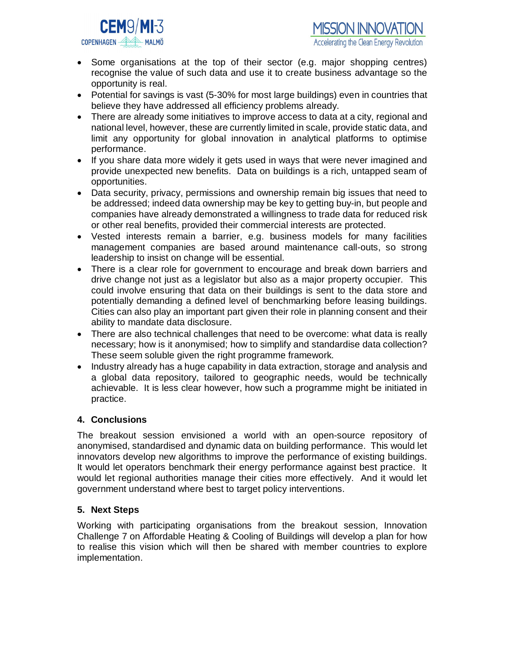



- Some organisations at the top of their sector (e.g. major shopping centres) recognise the value of such data and use it to create business advantage so the opportunity is real.
- Potential for savings is vast (5-30% for most large buildings) even in countries that believe they have addressed all efficiency problems already.
- There are already some initiatives to improve access to data at a city, regional and national level, however, these are currently limited in scale, provide static data, and limit any opportunity for global innovation in analytical platforms to optimise performance.
- If you share data more widely it gets used in ways that were never imagined and provide unexpected new benefits. Data on buildings is a rich, untapped seam of opportunities.
- Data security, privacy, permissions and ownership remain big issues that need to be addressed; indeed data ownership may be key to getting buy-in, but people and companies have already demonstrated a willingness to trade data for reduced risk or other real benefits, provided their commercial interests are protected.
- Vested interests remain a barrier, e.g. business models for many facilities management companies are based around maintenance call-outs, so strong leadership to insist on change will be essential.
- There is a clear role for government to encourage and break down barriers and drive change not just as a legislator but also as a major property occupier. This could involve ensuring that data on their buildings is sent to the data store and potentially demanding a defined level of benchmarking before leasing buildings. Cities can also play an important part given their role in planning consent and their ability to mandate data disclosure.
- There are also technical challenges that need to be overcome: what data is really necessary; how is it anonymised; how to simplify and standardise data collection? These seem soluble given the right programme framework.
- Industry already has a huge capability in data extraction, storage and analysis and a global data repository, tailored to geographic needs, would be technically achievable. It is less clear however, how such a programme might be initiated in practice.

#### **4. Conclusions**

The breakout session envisioned a world with an open-source repository of anonymised, standardised and dynamic data on building performance. This would let innovators develop new algorithms to improve the performance of existing buildings. It would let operators benchmark their energy performance against best practice. It would let regional authorities manage their cities more effectively. And it would let government understand where best to target policy interventions.

#### **5. Next Steps**

Working with participating organisations from the breakout session, Innovation Challenge 7 on Affordable Heating & Cooling of Buildings will develop a plan for how to realise this vision which will then be shared with member countries to explore implementation.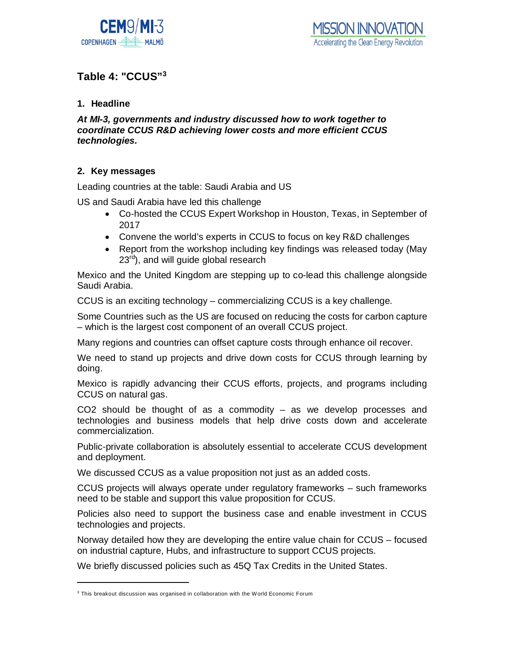



# **Table 4: "CCUS"<sup>3</sup>**

#### **1. Headline**

*At MI-3, governments and industry discussed how to work together to coordinate CCUS R&D achieving lower costs and more efficient CCUS technologies.*

#### **2. Key messages**

Leading countries at the table: Saudi Arabia and US

US and Saudi Arabia have led this challenge

- Co-hosted the CCUS Expert Workshop in Houston, Texas, in September of 2017
- Convene the world's experts in CCUS to focus on key R&D challenges
- Report from the workshop including key findings was released today (May 23<sup>rd</sup>), and will quide global research

Mexico and the United Kingdom are stepping up to co-lead this challenge alongside Saudi Arabia.

CCUS is an exciting technology – commercializing CCUS is a key challenge.

Some Countries such as the US are focused on reducing the costs for carbon capture – which is the largest cost component of an overall CCUS project.

Many regions and countries can offset capture costs through enhance oil recover.

We need to stand up projects and drive down costs for CCUS through learning by doing.

Mexico is rapidly advancing their CCUS efforts, projects, and programs including CCUS on natural gas.

CO2 should be thought of as a commodity – as we develop processes and technologies and business models that help drive costs down and accelerate commercialization.

Public-private collaboration is absolutely essential to accelerate CCUS development and deployment.

We discussed CCUS as a value proposition not just as an added costs.

CCUS projects will always operate under regulatory frameworks – such frameworks need to be stable and support this value proposition for CCUS.

Policies also need to support the business case and enable investment in CCUS technologies and projects.

Norway detailed how they are developing the entire value chain for CCUS – focused on industrial capture, Hubs, and infrastructure to support CCUS projects.

We briefly discussed policies such as 45Q Tax Credits in the United States.

**.** 

<sup>&</sup>lt;sup>3</sup> This breakout discussion was organised in collaboration with the World Economic Forum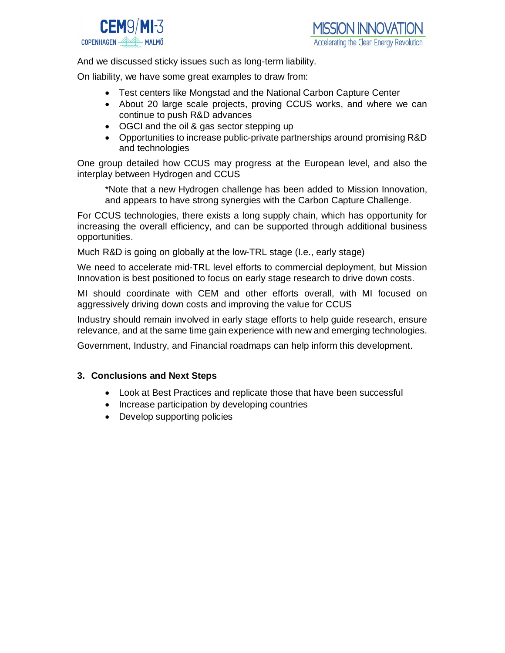



And we discussed sticky issues such as long-term liability.

On liability, we have some great examples to draw from:

- Test centers like Mongstad and the National Carbon Capture Center
- About 20 large scale projects, proving CCUS works, and where we can continue to push R&D advances
- OGCI and the oil & gas sector stepping up
- Opportunities to increase public-private partnerships around promising R&D and technologies

One group detailed how CCUS may progress at the European level, and also the interplay between Hydrogen and CCUS

\*Note that a new Hydrogen challenge has been added to Mission Innovation, and appears to have strong synergies with the Carbon Capture Challenge.

For CCUS technologies, there exists a long supply chain, which has opportunity for increasing the overall efficiency, and can be supported through additional business opportunities.

Much R&D is going on globally at the low-TRL stage (I.e., early stage)

We need to accelerate mid-TRL level efforts to commercial deployment, but Mission Innovation is best positioned to focus on early stage research to drive down costs.

MI should coordinate with CEM and other efforts overall, with MI focused on aggressively driving down costs and improving the value for CCUS

Industry should remain involved in early stage efforts to help guide research, ensure relevance, and at the same time gain experience with new and emerging technologies.

Government, Industry, and Financial roadmaps can help inform this development.

#### **3. Conclusions and Next Steps**

- Look at Best Practices and replicate those that have been successful
- Increase participation by developing countries
- Develop supporting policies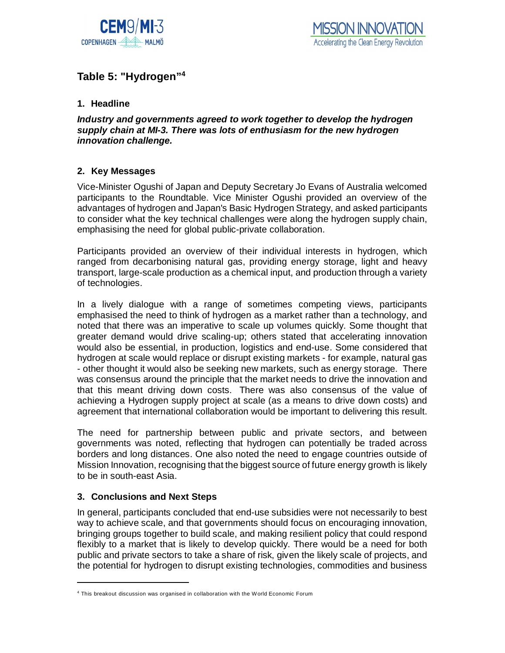



## **Table 5: "Hydrogen"<sup>4</sup>**

#### **1. Headline**

*Industry and governments agreed to work together to develop the hydrogen supply chain at MI-3. There was lots of enthusiasm for the new hydrogen innovation challenge.*

#### **2. Key Messages**

Vice-Minister Ogushi of Japan and Deputy Secretary Jo Evans of Australia welcomed participants to the Roundtable. Vice Minister Ogushi provided an overview of the advantages of hydrogen and Japan's Basic Hydrogen Strategy, and asked participants to consider what the key technical challenges were along the hydrogen supply chain, emphasising the need for global public-private collaboration.

Participants provided an overview of their individual interests in hydrogen, which ranged from decarbonising natural gas, providing energy storage, light and heavy transport, large-scale production as a chemical input, and production through a variety of technologies.

In a lively dialogue with a range of sometimes competing views, participants emphasised the need to think of hydrogen as a market rather than a technology, and noted that there was an imperative to scale up volumes quickly. Some thought that greater demand would drive scaling-up; others stated that accelerating innovation would also be essential, in production, logistics and end-use. Some considered that hydrogen at scale would replace or disrupt existing markets - for example, natural gas - other thought it would also be seeking new markets, such as energy storage. There was consensus around the principle that the market needs to drive the innovation and that this meant driving down costs. There was also consensus of the value of achieving a Hydrogen supply project at scale (as a means to drive down costs) and agreement that international collaboration would be important to delivering this result.

The need for partnership between public and private sectors, and between governments was noted, reflecting that hydrogen can potentially be traded across borders and long distances. One also noted the need to engage countries outside of Mission Innovation, recognising that the biggest source of future energy growth is likely to be in south-east Asia.

#### **3. Conclusions and Next Steps**

**.** 

In general, participants concluded that end-use subsidies were not necessarily to best way to achieve scale, and that governments should focus on encouraging innovation, bringing groups together to build scale, and making resilient policy that could respond flexibly to a market that is likely to develop quickly. There would be a need for both public and private sectors to take a share of risk, given the likely scale of projects, and the potential for hydrogen to disrupt existing technologies, commodities and business

<sup>4</sup> This breakout discussion was organised in collaboration with the World Economic Forum